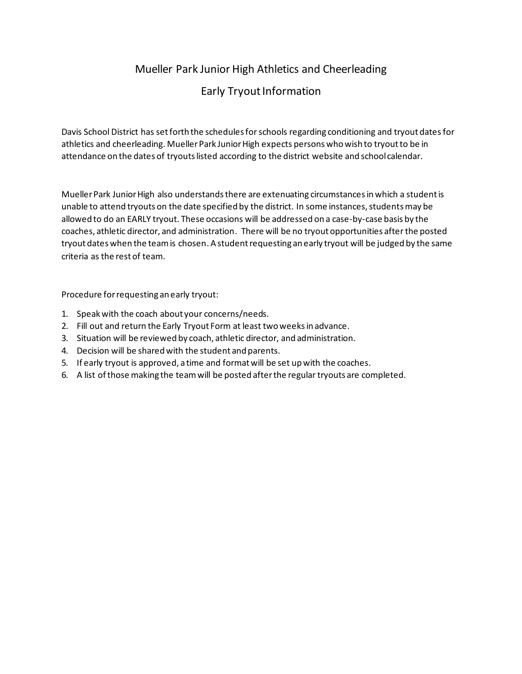## Mueller Park Junior High Athletics and Cheerleading

## Early Tryout Information

Davis School District has set forth the schedules for schools regarding conditioning and tryout dates for athletics and cheerleading. Mueller Park Junior High expects persons who wish to tryout to be in attendance on the dates of tryouts listed according to the district website and school calendar.

Mueller Park Junior High also understands there are extenuating circumstances in which a student is unable to attend tryouts on the date specified by the district. In some instances, studentsmay be allowed to do an EARLY tryout. These occasions will be addressed on a case-by-case basis by the coaches, athletic director, and administration. There will be no tryout opportunities after the posted tryout dates when the team is chosen. A student requesting an early tryout will be judged by the same criteria as the rest of team.

Procedure for requesting an early tryout:

- 1. Speak with the coach about your concerns/needs.
- 2. Fill out and return the Early Tryout Form at least two weeks in advance.
- 3. Situation will be reviewed by coach, athletic director, and administration.
- 4. Decision will be shared with the student and parents.
- 5. If early tryout is approved, a time and format will be set up with the coaches.
- 6. A list of those making the team will be posted after the regular tryouts are completed.